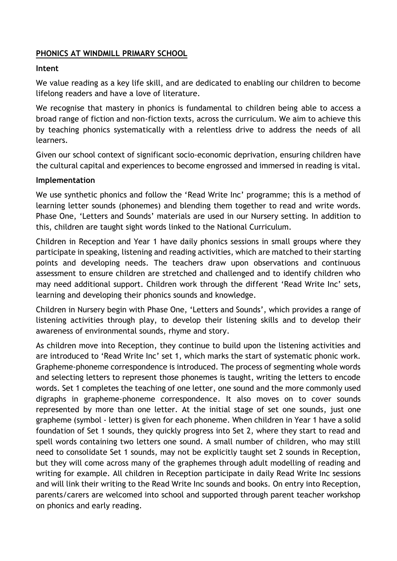## **PHONICS AT WINDMILL PRIMARY SCHOOL**

## **Intent**

We value reading as a key life skill, and are dedicated to enabling our children to become lifelong readers and have a love of literature.

We recognise that mastery in phonics is fundamental to children being able to access a broad range of fiction and non-fiction texts, across the curriculum. We aim to achieve this by teaching phonics systematically with a relentless drive to address the needs of all learners.

Given our school context of significant socio-economic deprivation, ensuring children have the cultural capital and experiences to become engrossed and immersed in reading is vital.

## **Implementation**

We use synthetic phonics and follow the 'Read Write Inc' programme; this is a method of learning letter sounds (phonemes) and blending them together to read and write words. Phase One, 'Letters and Sounds' materials are used in our Nursery setting. In addition to this, children are taught sight words linked to the National Curriculum.

Children in Reception and Year 1 have daily phonics sessions in small groups where they participate in speaking, listening and reading activities, which are matched to their starting points and developing needs. The teachers draw upon observations and continuous assessment to ensure children are stretched and challenged and to identify children who may need additional support. Children work through the different 'Read Write Inc' sets, learning and developing their phonics sounds and knowledge.

Children in Nursery begin with Phase One, 'Letters and Sounds', which provides a range of listening activities through play, to develop their listening skills and to develop their awareness of environmental sounds, rhyme and story.

As children move into Reception, they continue to build upon the listening activities and are introduced to 'Read Write Inc' set 1, which marks the start of systematic phonic work. Grapheme-phoneme correspondence is introduced. The process of segmenting whole words and selecting letters to represent those phonemes is taught, writing the letters to encode words. Set 1 completes the teaching of one letter, one sound and the more commonly used digraphs in grapheme-phoneme correspondence. It also moves on to cover sounds represented by more than one letter. At the initial stage of set one sounds, just one grapheme (symbol - letter) is given for each phoneme. When children in Year 1 have a solid foundation of Set 1 sounds, they quickly progress into Set 2, where they start to read and spell words containing two letters one sound. A small number of children, who may still need to consolidate Set 1 sounds, may not be explicitly taught set 2 sounds in Reception, but they will come across many of the graphemes through adult modelling of reading and writing for example. All children in Reception participate in daily Read Write Inc sessions and will link their writing to the Read Write Inc sounds and books. On entry into Reception, parents/carers are welcomed into school and supported through parent teacher workshop on phonics and early reading.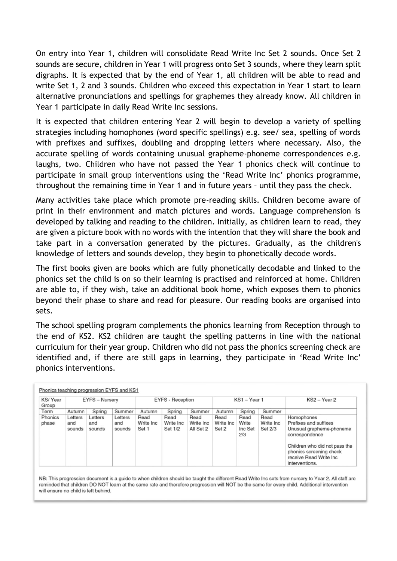On entry into Year 1, children will consolidate Read Write Inc Set 2 sounds. Once Set 2 sounds are secure, children in Year 1 will progress onto Set 3 sounds, where they learn split digraphs. It is expected that by the end of Year 1, all children will be able to read and write Set 1, 2 and 3 sounds. Children who exceed this expectation in Year 1 start to learn alternative pronunciations and spellings for graphemes they already know. All children in Year 1 participate in daily Read Write Inc sessions.

It is expected that children entering Year 2 will begin to develop a variety of spelling strategies including homophones (word specific spellings) e.g. see/ sea, spelling of words with prefixes and suffixes, doubling and dropping letters where necessary. Also, the accurate spelling of words containing unusual grapheme-phoneme correspondences e.g. laughs, two. Children who have not passed the Year 1 phonics check will continue to participate in small group interventions using the 'Read Write Inc' phonics programme, throughout the remaining time in Year 1 and in future years – until they pass the check.

Many activities take place which promote pre-reading skills. Children become aware of print in their environment and match pictures and words. Language comprehension is developed by talking and reading to the children. Initially, as children learn to read, they are given a picture book with no words with the intention that they will share the book and take part in a conversation generated by the pictures. Gradually, as the children's knowledge of letters and sounds develop, they begin to phonetically decode words.

The first books given are books which are fully phonetically decodable and linked to the phonics set the child is on so their learning is practised and reinforced at home. Children are able to, if they wish, take an additional book home, which exposes them to phonics beyond their phase to share and read for pleasure. Our reading books are organised into sets.

The school spelling program complements the phonics learning from Reception through to the end of KS2. KS2 children are taught the spelling patterns in line with the national curriculum for their year group. Children who did not pass the phonics screening check are identified and, if there are still gaps in learning, they participate in 'Read Write Inc' phonics interventions.

| KS/Year<br>Group | EYFS - Nursery           |                          |                          | <b>EYFS - Reception</b>    |                              |                                | $KS1 - Year1$              |                                 |                               | $KS2 - Year2$                                                                                                                                                                              |
|------------------|--------------------------|--------------------------|--------------------------|----------------------------|------------------------------|--------------------------------|----------------------------|---------------------------------|-------------------------------|--------------------------------------------------------------------------------------------------------------------------------------------------------------------------------------------|
| Term             | Autumn                   | Spring                   | Summer                   | Autumn                     | Spring                       | Summer                         | Autumn                     | Spring                          | Summer                        |                                                                                                                                                                                            |
| Phonics<br>phase | Letters<br>and<br>sounds | Letters<br>and<br>sounds | Letters<br>and<br>sounds | Read<br>Write Inc<br>Set 1 | Read<br>Write Inc<br>Set 1/2 | Read<br>Write Inc<br>All Set 2 | Read<br>Write Inc<br>Set 2 | Read<br>Write<br>Inc Set<br>2/3 | Read<br>Write Inc.<br>Set 2/3 | Homophones<br>Prefixes and suffixes<br>Unusual grapheme-phoneme<br>correspondence<br>Children who did not pass the<br>phonics screening check<br>receive Read Write Inc.<br>interventions. |

NB: This progression document is a guide to when children should be taught the different Read Write Inc sets from nursery to Year 2. All staff are reminded that children DO NOT learn at the same rate and therefore progression will NOT be the same for every child. Additional intervention will ensure no child is left behind.